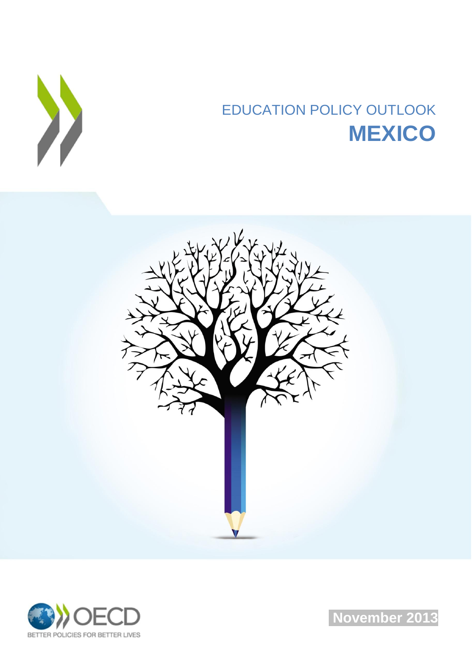

# EDUCATION POLICY OUTLOOK **MEXICO**





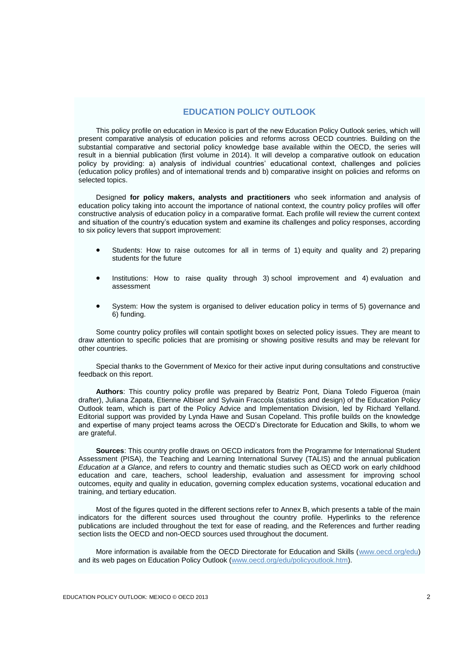## **EDUCATION POLICY OUTLOOK**

This policy profile on education in Mexico is part of the new Education Policy Outlook series, which will present comparative analysis of education policies and reforms across OECD countries. Building on the substantial comparative and sectorial policy knowledge base available within the OECD, the series will result in a biennial publication (first volume in 2014). It will develop a comparative outlook on education policy by providing: a) analysis of individual countries' educational context, challenges and policies (education policy profiles) and of international trends and b) comparative insight on policies and reforms on selected topics.

Designed **for policy makers, analysts and practitioners** who seek information and analysis of education policy taking into account the importance of national context, the country policy profiles will offer constructive analysis of education policy in a comparative format. Each profile will review the current context and situation of the country's education system and examine its challenges and policy responses, according to six policy levers that support improvement:

- Students: How to raise outcomes for all in terms of 1) equity and quality and 2) preparing students for the future
- Institutions: How to raise quality through 3) school improvement and 4) evaluation and assessment
- System: How the system is organised to deliver education policy in terms of 5) governance and 6) funding.

Some country policy profiles will contain spotlight boxes on selected policy issues. They are meant to draw attention to specific policies that are promising or showing positive results and may be relevant for other countries.

Special thanks to the Government of Mexico for their active input during consultations and constructive feedback on this report.

**Authors**: This country policy profile was prepared by Beatriz Pont, Diana Toledo Figueroa (main drafter), Juliana Zapata, Etienne Albiser and Sylvain Fraccola (statistics and design) of the Education Policy Outlook team, which is part of the Policy Advice and Implementation Division, led by Richard Yelland. Editorial support was provided by Lynda Hawe and Susan Copeland. This profile builds on the knowledge and expertise of many project teams across the OECD's Directorate for Education and Skills, to whom we are grateful.

**Sources**: This country profile draws on OECD indicators from the Programme for International Student Assessment (PISA), the Teaching and Learning International Survey (TALIS) and the annual publication *Education at a Glance*, and refers to country and thematic studies such as OECD work on early childhood education and care, teachers, school leadership, evaluation and assessment for improving school outcomes, equity and quality in education, governing complex education systems, vocational education and training, and tertiary education.

Most of the figures quoted in the different sections refer to Annex B, which presents a table of the main indicators for the different sources used throughout the country profile. Hyperlinks to the reference publications are included throughout the text for ease of reading, and the References and further reading section lists the OECD and non-OECD sources used throughout the document.

More information is available from the OECD Directorate for Education and Skills [\(www.oecd.org/edu\)](http://www.oecd.org/edu) and its web pages on Education Policy Outlook [\(www.oecd.org/edu/policyoutlook.htm\)](http://www.oecd.org/edu/policyoutlook.htm).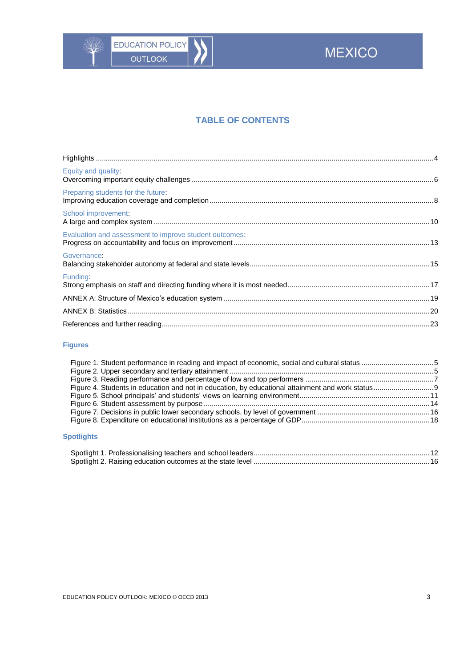

# **TABLE OF CONTENTS**

| Equity and quality:                                    |  |
|--------------------------------------------------------|--|
| Preparing students for the future:                     |  |
| School improvement:                                    |  |
| Evaluation and assessment to improve student outcomes: |  |
| Governance:                                            |  |
| Funding:                                               |  |
|                                                        |  |
|                                                        |  |
|                                                        |  |

## **Figures**

## **Spotlights**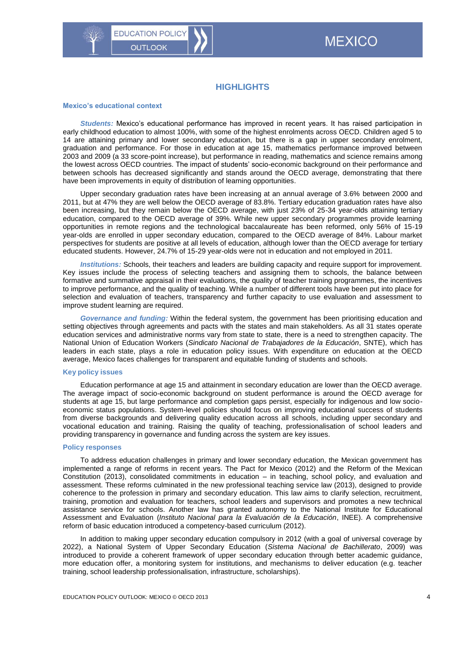## **HIGHLIGHTS**

#### <span id="page-3-0"></span>**Mexico's educational context**

*Students:* Mexico's educational performance has improved in recent years. It has raised participation in early childhood education to almost 100%, with some of the highest enrolments across OECD. Children aged 5 to 14 are attaining primary and lower secondary education, but there is a gap in upper secondary enrolment, graduation and performance. For those in education at age 15, mathematics performance improved between 2003 and 2009 (a 33 score-point increase), but performance in reading, mathematics and science remains among the lowest across OECD countries. The impact of students' socio-economic background on their performance and between schools has decreased significantly and stands around the OECD average, demonstrating that there have been improvements in equity of distribution of learning opportunities.

Upper secondary graduation rates have been increasing at an annual average of 3.6% between 2000 and 2011, but at 47% they are well below the OECD average of 83.8%. Tertiary education graduation rates have also been increasing, but they remain below the OECD average, with just 23% of 25-34 year-olds attaining tertiary education, compared to the OECD average of 39%. While new upper secondary programmes provide learning opportunities in remote regions and the technological baccalaureate has been reformed, only 56% of 15-19 year-olds are enrolled in upper secondary education, compared to the OECD average of 84%. Labour market perspectives for students are positive at all levels of education, although lower than the OECD average for tertiary educated students. However, 24.7% of 15-29 year-olds were not in education and not employed in 2011.

*Institutions:* Schools, their teachers and leaders are building capacity and require support for improvement. Key issues include the process of selecting teachers and assigning them to schools, the balance between formative and summative appraisal in their evaluations, the quality of teacher training programmes, the incentives to improve performance, and the quality of teaching. While a number of different tools have been put into place for selection and evaluation of teachers, transparency and further capacity to use evaluation and assessment to improve student learning are required.

*Governance and funding:* Within the federal system, the government has been prioritising education and setting objectives through agreements and pacts with the states and main stakeholders. As all 31 states operate education services and administrative norms vary from state to state, there is a need to strengthen capacity. The National Union of Education Workers (*Sindicato Nacional de Trabajadores de la Educación*, SNTE), which has leaders in each state, plays a role in education policy issues. With expenditure on education at the OECD average, Mexico faces challenges for transparent and equitable funding of students and schools.

#### **Key policy issues**

Education performance at age 15 and attainment in secondary education are lower than the OECD average. The average impact of socio-economic background on student performance is around the OECD average for students at age 15, but large performance and completion gaps persist, especially for indigenous and low socioeconomic status populations. System-level policies should focus on improving educational success of students from diverse backgrounds and delivering quality education across all schools, including upper secondary and vocational education and training. Raising the quality of teaching, professionalisation of school leaders and providing transparency in governance and funding across the system are key issues.

#### **Policy responses**

To address education challenges in primary and lower secondary education, the Mexican government has implemented a range of reforms in recent years. The Pact for Mexico (2012) and the Reform of the Mexican Constitution (2013), consolidated commitments in education – in teaching, school policy, and evaluation and assessment. These reforms culminated in the new professional teaching service law (2013), designed to provide coherence to the profession in primary and secondary education. This law aims to clarify selection, recruitment, training, promotion and evaluation for teachers, school leaders and supervisors and promotes a new technical assistance service for schools. Another law has granted autonomy to the National Institute for Educational Assessment and Evaluation (*Instituto Nacional para la Evaluación de la Educación*, INEE). A comprehensive reform of basic education introduced a competency-based curriculum (2012).

In addition to making upper secondary education compulsory in 2012 (with a goal of universal coverage by 2022), a National System of Upper Secondary Education (*Sistema Nacional de Bachillerato*, 2009) was introduced to provide a coherent framework of upper secondary education through better academic guidance, more education offer, a monitoring system for institutions, and mechanisms to deliver education (e.g. teacher training, school leadership professionalisation, infrastructure, scholarships).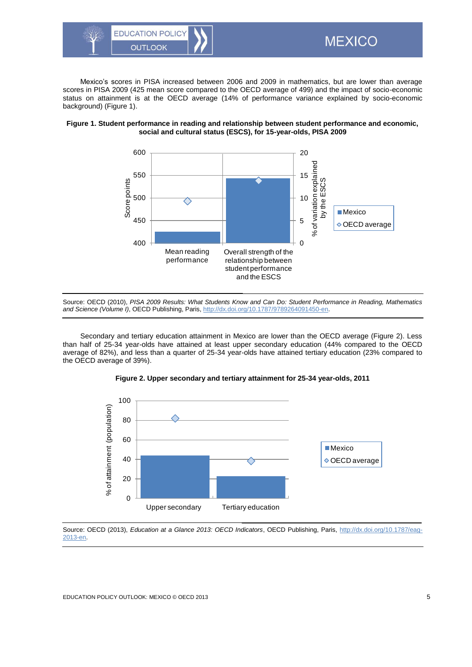

Mexico's scores in PISA increased between 2006 and 2009 in mathematics, but are lower than average scores in PISA 2009 (425 mean score compared to the OECD average of 499) and the impact of socio-economic status on attainment is at the OECD average (14% of performance variance explained by socio-economic background) (Figure 1).



<span id="page-4-0"></span>

Source: OECD (2010), *PISA 2009 Results: What Students Know and Can Do: Student Performance in Reading, Mathematics and Science (Volume I)*, OECD Publishing, Paris[, http://dx.doi.org/10.1787/9789264091450-en.](http://dx.doi.org/10.1787/9789264091450-en)

Secondary and tertiary education attainment in Mexico are lower than the OECD average (Figure 2). Less than half of 25-34 year-olds have attained at least upper secondary education (44% compared to the OECD average of 82%), and less than a quarter of 25-34 year-olds have attained tertiary education (23% compared to the OECD average of 39%).



<span id="page-4-1"></span>

Source: OECD (2013), *Education at a Glance 2013: OECD Indicators*, OECD Publishing, Paris, [http://dx.doi.org/10.1787/eag-](http://dx.doi.org/10.1787/eag-2013-en)[2013-en.](http://dx.doi.org/10.1787/eag-2013-en)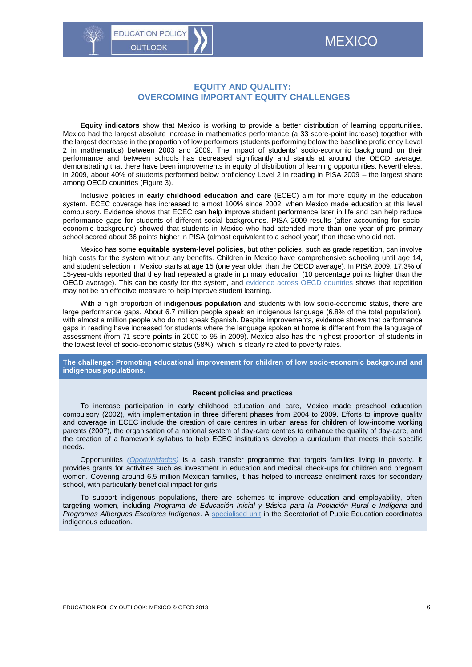

## <span id="page-5-0"></span>**EQUITY AND QUALITY: OVERCOMING IMPORTANT EQUITY CHALLENGES**

**Equity indicators** show that Mexico is working to provide a better distribution of learning opportunities. Mexico had the largest absolute increase in mathematics performance (a 33 score-point increase) together with the largest decrease in the proportion of low performers (students performing below the baseline proficiency Level 2 in mathematics) between 2003 and 2009. The impact of students' socio-economic background on their performance and between schools has decreased significantly and stands at around the OECD average, demonstrating that there have been improvements in equity of distribution of learning opportunities. Nevertheless, in 2009, about 40% of students performed below proficiency Level 2 in reading in PISA 2009 – the largest share among OECD countries (Figure 3).

Inclusive policies in **early childhood education and care** (ECEC) aim for more equity in the education system. ECEC coverage has increased to almost 100% since 2002, when Mexico made education at this level compulsory. Evidence shows that ECEC can help improve student performance later in life and can help reduce performance gaps for students of different social backgrounds. PISA 2009 results (after accounting for socioeconomic background) showed that students in Mexico who had attended more than one year of pre-primary school scored about 36 points higher in PISA (almost equivalent to a school year) than those who did not.

Mexico has some **equitable system-level policies**, but other policies, such as grade repetition, can involve high costs for the system without any benefits. Children in Mexico have comprehensive schooling until age 14, and student selection in Mexico starts at age 15 (one year older than the OECD average). In PISA 2009, 17.3% of 15-year-olds reported that they had repeated a grade in primary education (10 percentage points higher than the OECD average). This can be costly for the system, and [evidence across OECD countries](http://www.oecd.org/education/school/50293148.pdf) shows that repetition may not be an effective measure to help improve student learning.

With a high proportion of **indigenous population** and students with low socio-economic status, there are large performance gaps. About 6.7 million people speak an indigenous language (6.8% of the total population), with almost a million people who do not speak Spanish. Despite improvements, evidence shows that performance gaps in reading have increased for students where the language spoken at home is different from the language of assessment (from 71 score points in 2000 to 95 in 2009). Mexico also has the highest proportion of students in the lowest level of socio-economic status (58%), which is clearly related to poverty rates.

**The challenge: Promoting educational improvement for children of low socio-economic background and indigenous populations.**

#### **Recent policies and practices**

To increase participation in early childhood education and care, Mexico made preschool education compulsory (2002), with implementation in three different phases from 2004 to 2009. Efforts to improve quality and coverage in ECEC include the creation of care centres in urban areas for children of low-income working parents (2007), the organisation of a national system of day-care centres to enhance the quality of day-care, and the creation of a framework syllabus to help ECEC institutions develop a curriculum that meets their specific needs.

Opportunities *[\(Oportunidades\)](http://www.oportunidades.gob.mx/Portal/wb/Web/oportunidades_a_human_development_program)* is a cash transfer programme that targets families living in poverty. It provides grants for activities such as investment in education and medical check-ups for children and pregnant women. Covering around 6.5 million Mexican families, it has helped to increase enrolment rates for secondary school, with particularly beneficial impact for girls.

To support indigenous populations, there are schemes to improve education and employability, often targeting women, including *Programa de Educación Inicial y Básica para la Población Rural e Indígena* and *Programas Albergues Escolares Indígenas*. A [specialised unit](http://basica.sep.gob.mx/dgei/start.php) in the Secretariat of Public Education coordinates indigenous education.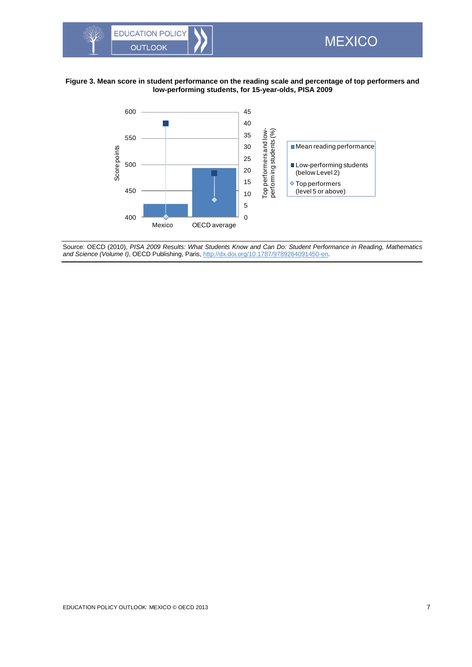

### **Figure 3. Mean score in student performance on the reading scale and percentage of top performers and low-performing students, for 15-year-olds, PISA 2009**

<span id="page-6-0"></span>**MEXICO** 



Source: OECD (2010), *PISA 2009 Results: What Students Know and Can Do: Student Performance in Reading, Mathematics and Science (Volume I)*, OECD Publishing, Paris[, http://dx.doi.org/10.1787/9789264091450-en.](http://dx.doi.org/10.1787/9789264091450-en)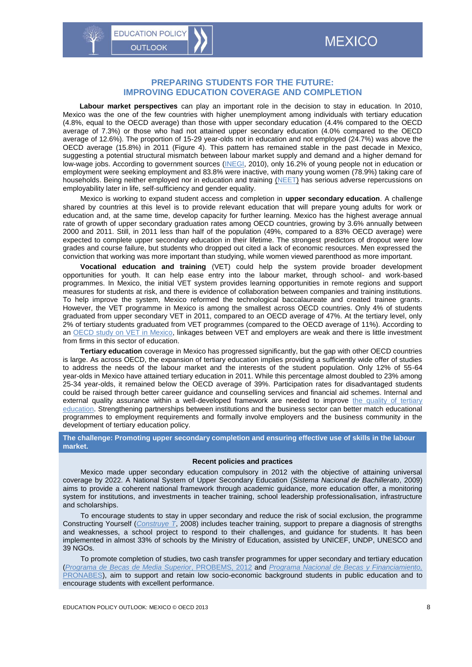## <span id="page-7-0"></span>**PREPARING STUDENTS FOR THE FUTURE: IMPROVING EDUCATION COVERAGE AND COMPLETION**

**Labour market perspectives** can play an important role in the decision to stay in education. In 2010, Mexico was the one of the few countries with higher unemployment among individuals with tertiary education (4.8%, equal to the OECD average) than those with upper secondary education (4.4% compared to the OECD average of 7.3%) or those who had not attained upper secondary education (4.0% compared to the OECD average of 12.6%). The proportion of 15-29 year-olds not in education and not employed (24.7%) was above the OECD average (15.8%) in 2011 (Figure 4). This pattern has remained stable in the past decade in Mexico, suggesting a potential structural mismatch between labour market supply and demand and a higher demand for low-wage jobs. According to government sources [\(INEGI,](http://www.inegi.org.mx/est/contenidos/proyectos/encuestas/hogares/regulares/enoe/default.aspx) 2010), only 16.2% of young people not in education or employment were seeking employment and 83.8% were inactive, with many young women (78.9%) taking care of households. Being neither employed nor in education and training [\(NEET\)](http://www.oecd.org/edu/Mexico_EAG2013%20Country%20Note.pdf) has serious adverse repercussions on employability later in life, self-sufficiency and gender equality.

Mexico is working to expand student access and completion in **upper secondary education**. A challenge shared by countries at this level is to provide relevant education that will prepare young adults for work or education and, at the same time, develop capacity for further learning. Mexico has the highest average annual rate of growth of upper secondary graduation rates among OECD countries, growing by 3.6% annually between 2000 and 2011. Still, in 2011 less than half of the population (49%, compared to a 83% OECD average) were expected to complete upper secondary education in their lifetime. The strongest predictors of dropout were low grades and course failure, but students who dropped out cited a lack of economic resources. Men expressed the conviction that working was more important than studying, while women viewed parenthood as more important.

**Vocational education and training** (VET) could help the system provide broader development opportunities for youth. It can help ease entry into the labour market, through school- and work-based programmes. In Mexico, the initial VET system provides learning opportunities in remote regions and support measures for students at risk, and there is evidence of collaboration between companies and training institutions. To help improve the system, Mexico reformed the technological baccalaureate and created trainee grants. However, the VET programme in Mexico is among the smallest across OECD countries. Only 4% of students graduated from upper secondary VET in 2011, compared to an OECD average of 47%. At the tertiary level, only 2% of tertiary students graduated from VET programmes (compared to the OECD average of 11%). According to an [OECD study on VET in Mexico,](http://www.oecd.org/edu/skills-beyond-school/45167044.pdf) linkages between VET and employers are weak and there is little investment from firms in this sector of education.

**Tertiary education** coverage in Mexico has progressed significantly, but the gap with other OECD countries is large. As across OECD, the expansion of tertiary education implies providing a sufficiently wide offer of studies to address the needs of the labour market and the interests of the student population. Only 12% of 55-64 year-olds in Mexico have attained tertiary education in 2011. While this percentage almost doubled to 23% among 25-34 year-olds, it remained below the OECD average of 39%. Participation rates for disadvantaged students could be raised through better career guidance and counselling services and financial aid schemes. Internal and external quality assurance within a well-developed framework are needed to improve the quality of tertiary [education.](http://www.oecd.org/education/skills-beyond-school/37746196.pdf) Strengthening partnerships between institutions and the business sector can better match educational programmes to employment requirements and formally involve employers and the business community in the development of tertiary education policy.

#### **The challenge: Promoting upper secondary completion and ensuring effective use of skills in the labour market.**

#### **Recent policies and practices**

Mexico made upper secondary education compulsory in 2012 with the objective of attaining universal coverage by 2022. A National System of Upper Secondary Education (*Sistema Nacional de Bachillerato*, 2009) aims to provide a coherent national framework through academic guidance, more education offer, a monitoring system for institutions, and investments in teacher training, school leadership professionalisation, infrastructure and scholarships.

To encourage students to stay in upper secondary and reduce the risk of social exclusion, the programme Constructing Yourself (*[Construye T](http://www.construye-t.org.mx/web/)*, 2008) includes teacher training, support to prepare a diagnosis of strengths and weaknesses, a school project to respond to their challenges, and guidance for students. It has been implemented in almost 33% of schools by the Ministry of Education, assisted by UNICEF, UNDP, UNESCO and 39 NGOs.

To promote completion of studies, two cash transfer programmes for upper secondary and tertiary education (*[Programa de Becas de Media Superior](http://www.uaem.mx/estudiantes-y-egresados/becas/programa-de-becas-de-educacion-media-superior-probems)*, PROBEMS, 2012 and *[Programa Nacional de Becas y Financiamiento,](http://www.sep.gob.mx/es/sep1/sep1_Programa_Nacional_de_Becas_y_Financiamiento_P#.UlnMbBAeab4)*  [PRONABES\)](http://www.sep.gob.mx/es/sep1/sep1_Programa_Nacional_de_Becas_y_Financiamiento_P#.UlnMbBAeab4), aim to support and retain low socio-economic background students in public education and to encourage students with excellent performance.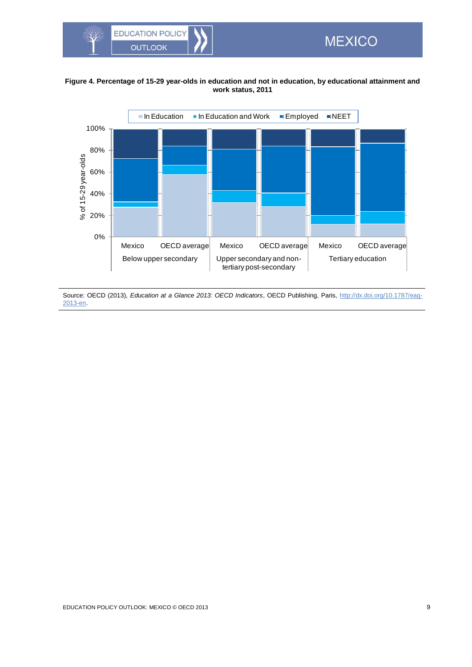

## **Figure 4. Percentage of 15-29 year-olds in education and not in education, by educational attainment and work status, 2011**

<span id="page-8-0"></span>**MEXICO** 



Source: OECD (2013), *Education at a Glance 2013: OECD Indicators*, OECD Publishing, Paris, [http://dx.doi.org/10.1787/eag-](http://dx.doi.org/10.1787/eag-2013-en)[2013-en.](http://dx.doi.org/10.1787/eag-2013-en)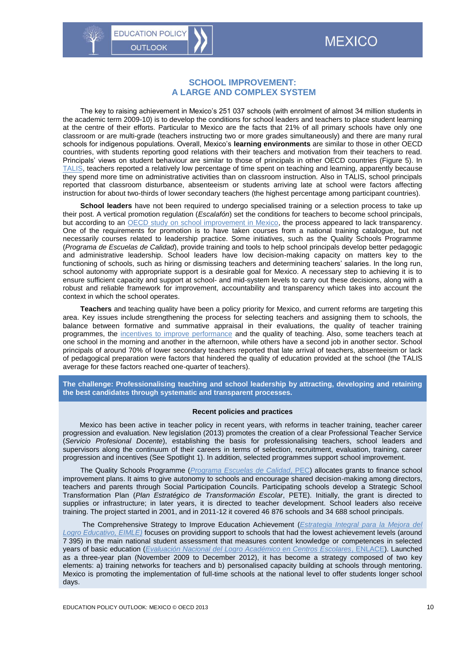**EDUCATION POLICY** 

<span id="page-9-0"></span>**OUTLOOK** 

The key to raising achievement in Mexico's 251 037 schools (with enrolment of almost 34 million students in the academic term 2009-10) is to develop the conditions for school leaders and teachers to place student learning at the centre of their efforts. Particular to Mexico are the facts that 21% of all primary schools have only one classroom or are multi-grade (teachers instructing two or more grades simultaneously) and there are many rural schools for indigenous populations. Overall, Mexico's **learning environments** are similar to those in other OECD countries, with students reporting good relations with their teachers and motivation from their teachers to read. Principals' views on student behaviour are similar to those of principals in other OECD countries (Figure 5). In [TALIS,](http://www.oecd.org/edu/school/talis.htm) teachers reported a relatively low percentage of time spent on teaching and learning, apparently because they spend more time on administrative activities than on classroom instruction. Also in TALIS, school principals reported that classroom disturbance, absenteeism or students arriving late at school were factors affecting instruction for about two-thirds of lower secondary teachers (the highest percentage among participant countries).

**School leaders** have not been required to undergo specialised training or a selection process to take up their post. A vertical promotion regulation (*Escalafón*) set the conditions for teachers to become school principals, but according to an [OECD study on school improvement in Mexico,](http://www.oecd.org/education/school/improvingschoolsstrategiesforactioninmexico.htm) the process appeared to lack transparency. One of the requirements for promotion is to have taken courses from a national training catalogue, but not necessarily courses related to leadership practice. Some initiatives, such as the Quality Schools Programme (*Programa de Escuelas de Calidad*), provide training and tools to help school principals develop better pedagogic and administrative leadership. School leaders have low decision-making capacity on matters key to the functioning of schools, such as hiring or dismissing teachers and determining teachers' salaries. In the long run, school autonomy with appropriate support is a desirable goal for Mexico. A necessary step to achieving it is to ensure sufficient capacity and support at school- and mid-system levels to carry out these decisions, along with a robust and reliable framework for improvement, accountability and transparency which takes into account the context in which the school operates.

**Teachers** and teaching quality have been a policy priority for Mexico, and current reforms are targeting this area. Key issues include strengthening the process for selecting teachers and assigning them to schools, the balance between formative and summative appraisal in their evaluations, the quality of teacher training programmes, the [incentives to improve performance](http://www.oecd.org/edu/school/establishingaframeworkforevaluationandteacherincentivesconsiderationsformexico.htm) and the quality of teaching. Also, some teachers teach at one school in the morning and another in the afternoon, while others have a second job in another sector. School principals of around 70% of lower secondary teachers reported that late arrival of teachers, absenteeism or lack of pedagogical preparation were factors that hindered the quality of education provided at the school (the TALIS average for these factors reached one-quarter of teachers).

**The challenge: Professionalising teaching and school leadership by attracting, developing and retaining the best candidates through systematic and transparent processes.**

#### **Recent policies and practices**

Mexico has been active in teacher policy in recent years, with reforms in teacher training, teacher career progression and evaluation. New legislation (2013) promotes the creation of a clear Professional Teacher Service (*Servicio Profesional Docente*), establishing the basis for professionalising teachers, school leaders and supervisors along the continuum of their careers in terms of selection, recruitment, evaluation, training, career progression and incentives (See Spotlight 1). In addition, selected programmes support school improvement.

The Quality Schools Programme (*[Programa Escuelas de Calidad](http://www.edomex.gob.mx/portal/page/portal/escuelasdecalidad)*, PEC) allocates grants to finance school improvement plans. It aims to give autonomy to schools and encourage shared decision-making among directors, teachers and parents through Social Participation Councils. Participating schools develop a Strategic School Transformation Plan (*Plan Estratégico de Transformación Escolar*, PETE). Initially, the grant is directed to supplies or infrastructure; in later years, it is directed to teacher development. School leaders also receive training. The project started in 2001, and in 2011-12 it covered 46 876 schools and 34 688 school principals.

The Comprehensive Strategy to Improve Education Achievement (*[Estrategia Integral para la Mejora del](http://basica.sep.gob.mx/eimle/pdf/boletin/boletin10.pdf)  [Logro Educativo, EIMLE\)](http://basica.sep.gob.mx/eimle/pdf/boletin/boletin10.pdf)* focuses on providing support to schools that had the lowest achievement levels (around 7 395) in the main national student assessment that measures content knowledge or competences in selected years of basic education (*[Evaluación Nacional del Logro Académico en Centros Escolares](http://www.enlace.sep.gob.mx/)*, ENLACE). Launched as a three-year plan (November 2009 to December 2012), it has become a strategy composed of two key elements: a) training networks for teachers and b) personalised capacity building at schools through mentoring. Mexico is promoting the implementation of full-time schools at the national level to offer students longer school days.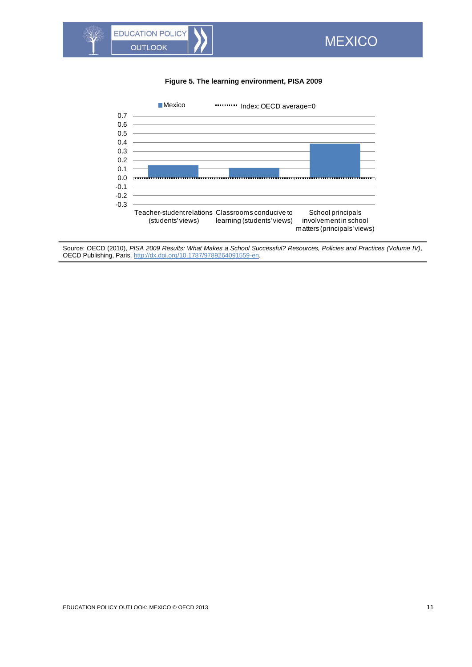## <span id="page-10-0"></span>**Figure 5. The learning environment, PISA 2009**



Source: OECD (2010), *PISA 2009 Results: What Makes a School Successful? Resources, Policies and Practices (Volume IV)*, OECD Publishing, Paris[, http://dx.doi.org/10.1787/9789264091559-en.](http://dx.doi.org/10.1787/9789264091559-en)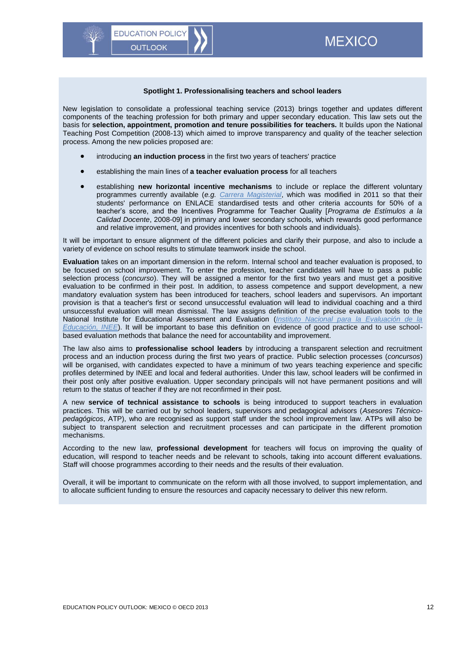#### **Spotlight 1. Professionalising teachers and school leaders**

New legislation to consolidate a professional teaching service (2013) brings together and updates different components of the teaching profession for both primary and upper secondary education. This law sets out the basis for **selection, appointment, promotion and tenure possibilities for teachers.** It builds upon the National Teaching Post Competition (2008-13) which aimed to improve transparency and quality of the teacher selection process. Among the new policies proposed are:

introducing **an induction process** in the first two years of teachers' practice

**EDUCATION POLICY** 

**OUTLOOK** 

- establishing the main lines of **a teacher evaluation process** for all teachers
- establishing **new horizontal incentive mechanisms** to include or replace the different voluntary programmes currently available (*e.g. [Carrera Magisterial](http://edu.edomex.gob.mx/carreramagisterial/)*, which was modified in 2011 so that their students' performance on ENLACE standardised tests and other criteria accounts for 50% of a teacher's score, and the Incentives Programme for Teacher Quality [*Programa de Estímulos a la Calidad Docente*, 2008-09] in primary and lower secondary schools, which rewards good performance and relative improvement, and provides incentives for both schools and individuals).

It will be important to ensure alignment of the different policies and clarify their purpose, and also to include a variety of evidence on school results to stimulate teamwork inside the school.

**Evaluation** takes on an important dimension in the reform. Internal school and teacher evaluation is proposed, to be focused on school improvement. To enter the profession, teacher candidates will have to pass a public selection process (*concurso*). They will be assigned a mentor for the first two years and must get a positive evaluation to be confirmed in their post. In addition, to assess competence and support development, a new mandatory evaluation system has been introduced for teachers, school leaders and supervisors. An important provision is that a teacher's first or second unsuccessful evaluation will lead to individual coaching and a third unsuccessful evaluation will mean dismissal. The law assigns definition of the precise evaluation tools to the National Institute for Educational Assessment and Evaluation (*[Instituto Nacional para la Evaluación de la](http://www.inee.edu.mx/)  [Educación, INEE](http://www.inee.edu.mx/)*). It will be important to base this definition on evidence of good practice and to use schoolbased evaluation methods that balance the need for accountability and improvement.

The law also aims to **professionalise school leaders** by introducing a transparent selection and recruitment process and an induction process during the first two years of practice. Public selection processes (*concursos*) will be organised, with candidates expected to have a minimum of two years teaching experience and specific profiles determined by INEE and local and federal authorities. Under this law, school leaders will be confirmed in their post only after positive evaluation. Upper secondary principals will not have permanent positions and will return to the status of teacher if they are not reconfirmed in their post.

A new **service of technical assistance to schools** is being introduced to support teachers in evaluation practices. This will be carried out by school leaders, supervisors and pedagogical advisors (*Asesores Técnicopedagógicos*, ATP), who are recognised as support staff under the school improvement law. ATPs will also be subject to transparent selection and recruitment processes and can participate in the different promotion mechanisms.

According to the new law, **professional development** for teachers will focus on improving the quality of education, will respond to teacher needs and be relevant to schools, taking into account different evaluations. Staff will choose programmes according to their needs and the results of their evaluation.

Overall, it will be important to communicate on the reform with all those involved, to support implementation, and to allocate sufficient funding to ensure the resources and capacity necessary to deliver this new reform.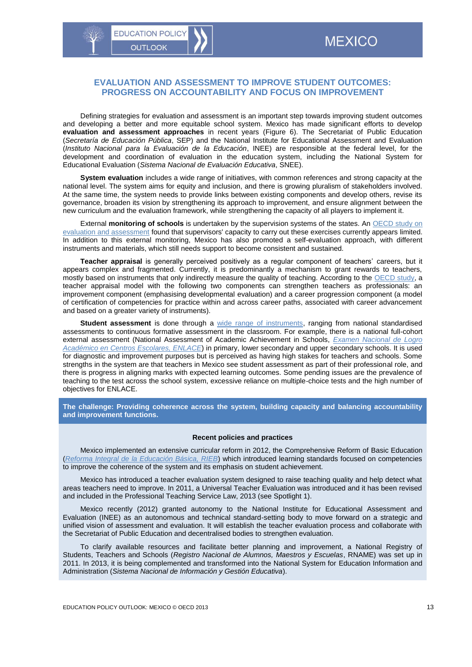## <span id="page-12-0"></span>**EVALUATION AND ASSESSMENT TO IMPROVE STUDENT OUTCOMES: PROGRESS ON ACCOUNTABILITY AND FOCUS ON IMPROVEMENT**

Defining strategies for evaluation and assessment is an important step towards improving student outcomes and developing a better and more equitable school system. Mexico has made significant efforts to develop **evaluation and assessment approaches** in recent years (Figure 6). The Secretariat of Public Education (*Secretaría de Educación Pública*, SEP) and the National Institute for Educational Assessment and Evaluation (*Instituto Nacional para la Evaluación de la Educación*, INEE) are responsible at the federal level, for the development and coordination of evaluation in the education system, including the National System for Educational Evaluation (*Sistema Nacional de Evaluación Educativa*, SNEE).

**System evaluation** includes a wide range of initiatives, with common references and strong capacity at the national level. The system aims for equity and inclusion, and there is growing pluralism of stakeholders involved. At the same time, the system needs to provide links between existing components and develop others, revise its governance, broaden its vision by strengthening its approach to improvement, and ensure alignment between the new curriculum and the evaluation framework, while strengthening the capacity of all players to implement it.

External **monitoring of schools** is undertaken by the supervision systems of the states. An [OECD study on](http://www.oecd.org/edu/school/Mexico%20Review%20of%20Evaluation%20and%20Assessment%20in%20Education.pdf)  [evaluation and assessment](http://www.oecd.org/edu/school/Mexico%20Review%20of%20Evaluation%20and%20Assessment%20in%20Education.pdf) found that supervisors' capacity to carry out these exercises currently appears limited. In addition to this external monitoring, Mexico has also promoted a self-evaluation approach, with different instruments and materials, which still needs support to become consistent and sustained.

**Teacher appraisal** is generally perceived positively as a regular component of teachers' careers, but it appears complex and fragmented. Currently, it is predominantly a mechanism to grant rewards to teachers, mostly based on instruments that only indirectly measure the quality of teaching. According to the [OECD study,](http://www.oecd.org/edu/school/Mexico%20Review%20of%20Evaluation%20and%20Assessment%20in%20Education.pdf) a teacher appraisal model with the following two components can strengthen teachers as professionals: an improvement component (emphasising developmental evaluation) and a career progression component (a model of certification of competencies for practice within and across career paths, associated with career advancement and based on a greater variety of instruments).

**Student assessment** is done through a [wide range of instruments,](http://www.oecd.org/edu/school/establishingaframeworkforevaluationandteacherincentivesconsiderationsformexico.htm) ranging from national standardised assessments to continuous formative assessment in the classroom. For example, there is a national full-cohort external assessment (National Assessment of Academic Achievement in Schools, *[Examen Nacional de Logro](http://www.enlace.sep.gob.mx/)  [Académico en Centros Escolares, ENLACE](http://www.enlace.sep.gob.mx/)*) in primary, lower secondary and upper secondary schools. It is used for diagnostic and improvement purposes but is perceived as having high stakes for teachers and schools. Some strengths in the system are that teachers in Mexico see student assessment as part of their professional role, and there is progress in aligning marks with expected learning outcomes. Some pending issues are the prevalence of teaching to the test across the school system, excessive reliance on multiple-choice tests and the high number of objectives for ENLACE.

**The challenge: Providing coherence across the system, building capacity and balancing accountability and improvement functions.** 

#### **Recent policies and practices**

Mexico implemented an extensive curricular reform in 2012, the Comprehensive Reform of Basic Education (*[Reforma Integral de la Educación Básica, RIEB](http://basica.sep.gob.mx/reformaintegral/sitio/?act=rieb)*) which introduced learning standards focused on competencies to improve the coherence of the system and its emphasis on student achievement.

Mexico has introduced a teacher evaluation system designed to raise teaching quality and help detect what areas teachers need to improve. In 2011, a Universal Teacher Evaluation was introduced and it has been revised and included in the Professional Teaching Service Law, 2013 (see Spotlight 1).

Mexico recently (2012) granted autonomy to the National Institute for Educational Assessment and Evaluation (INEE) as an autonomous and technical standard-setting body to move forward on a strategic and unified vision of assessment and evaluation. It will establish the teacher evaluation process and collaborate with the Secretariat of Public Education and decentralised bodies to strengthen evaluation.

To clarify available resources and facilitate better planning and improvement, a National Registry of Students, Teachers and Schools (*Registro Nacional de Alumnos, Maestros y Escuelas*, RNAME) was set up in 2011. In 2013, it is being complemented and transformed into the National System for Education Information and Administration (*Sistema Nacional de Información y Gestión Educativa*).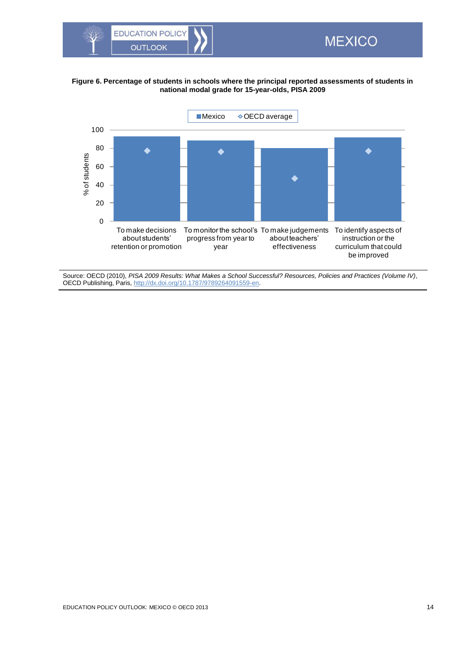

### **Figure 6. Percentage of students in schools where the principal reported assessments of students in national modal grade for 15-year-olds, PISA 2009**

<span id="page-13-0"></span>**MEXICO** 



Source: OECD (2010), *PISA 2009 Results: What Makes a School Successful? Resources, Policies and Practices (Volume IV)*, OECD Publishing, Paris[, http://dx.doi.org/10.1787/9789264091559-en.](http://dx.doi.org/10.1787/9789264091559-en)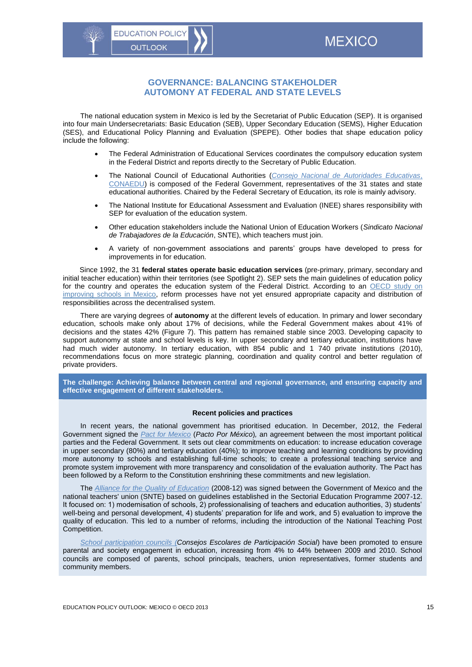## <span id="page-14-0"></span>**GOVERNANCE: BALANCING STAKEHOLDER AUTOMONY AT FEDERAL AND STATE LEVELS**

The national education system in Mexico is led by the Secretariat of Public Education (SEP). It is organised into four main Undersecretariats: Basic Education (SEB), Upper Secondary Education (SEMS), Higher Education (SES), and Educational Policy Planning and Evaluation (SPEPE). Other bodies that shape education policy include the following:

- The Federal Administration of Educational Services coordinates the compulsory education system in the Federal District and reports directly to the Secretary of Public Education.
- The National Council of Educational Authorities (*[Consejo Nacional de Autoridades Educativas](http://basica.sep.gob.mx/conaedu/)*, [CONAEDU\)](http://basica.sep.gob.mx/conaedu/) is composed of the Federal Government, representatives of the 31 states and state educational authorities. Chaired by the Federal Secretary of Education, its role is mainly advisory.
- The National Institute for Educational Assessment and Evaluation (INEE) shares responsibility with SEP for evaluation of the education system.
- Other education stakeholders include the National Union of Education Workers (*Sindicato Nacional de Trabajadores de la Educación*, SNTE), which teachers must join.
- A variety of non-government associations and parents' groups have developed to press for improvements in for education.

Since 1992, the 31 **federal states operate basic education services** (pre-primary, primary, secondary and initial teacher education) within their territories (see Spotlight 2). SEP sets the main guidelines of education policy for the country and operates the education system of the Federal District. According to an OECD study on [improving schools in Mexico,](http://www.oecd.org/edu/school/47101323.pdf) reform processes have not yet ensured appropriate capacity and distribution of responsibilities across the decentralised system.

There are varying degrees of **autonomy** at the different levels of education. In primary and lower secondary education, schools make only about 17% of decisions, while the Federal Government makes about 41% of decisions and the states 42% (Figure 7). This pattern has remained stable since 2003. Developing capacity to support autonomy at state and school levels is key. In upper secondary and tertiary education, institutions have had much wider autonomy. In tertiary education, with 854 public and 1 740 private institutions (2010), recommendations focus on more strategic planning, coordination and quality control and better regulation of private providers.

**The challenge: Achieving balance between central and regional governance, and ensuring capacity and effective engagement of different stakeholders.**

#### **Recent policies and practices**

In recent years, the national government has prioritised education. In December, 2012, the Federal Government signed the *[Pact for Mexico](http://www.presidencia.gob.mx/wp-content/uploads/2012/12/Pacto-Por-M%C3%A9xico-TODOS-los-acuerdos.pdf)* (*Pacto Por México*)*,* an agreement between the most important political parties and the Federal Government. It sets out clear commitments on education: to increase education coverage in upper secondary (80%) and tertiary education (40%); to improve teaching and learning conditions by providing more autonomy to schools and establishing full-time schools; to create a professional teaching service and promote system improvement with more transparency and consolidation of the evaluation authority. The Pact has been followed by a Reform to the Constitution enshrining these commitments and new legislation.

The *[Alliance for the Quality of Education](http://basica.sep.gob.mx/dgei/pdf/normateca/AlianzaCaliEdu.pdf)* (2008-12) was signed between the Government of Mexico and the national teachers' union (SNTE) based on guidelines established in the Sectorial Education Programme 2007-12. It focused on: 1) modernisation of schools, 2) professionalising of teachers and education authorities, 3) students' well-being and personal development, 4) students' preparation for life and work, and 5) evaluation to improve the quality of education. This led to a number of reforms, including the introduction of the National Teaching Post Competition.

*[School participation councils](http://www.consejosescolares.sep.gob.mx/) (Consejos Escolares de Participación Social*) have been promoted to ensure parental and society engagement in education, increasing from 4% to 44% between 2009 and 2010. School councils are composed of parents, school principals, teachers, union representatives, former students and community members.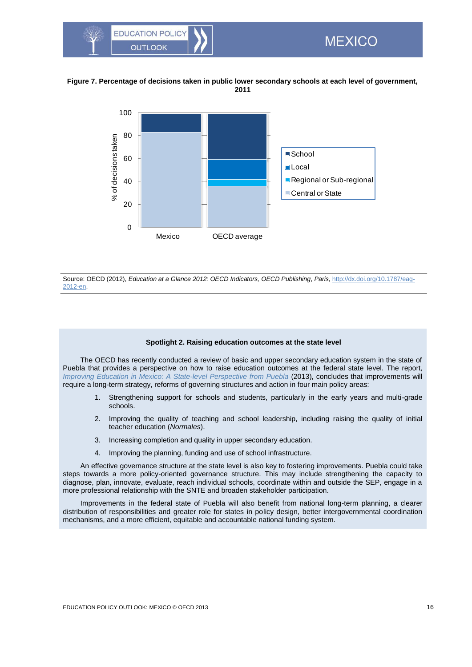

#### **Figure 7. Percentage of decisions taken in public lower secondary schools at each level of government, 2011**

<span id="page-15-0"></span>

Source: OECD (2012), *Education at a Glance 2012: OECD Indicators, OECD Publishing*, *Paris,* [http://dx.doi.org/10.1787/eag-](http://dx.doi.org/10.1787/eag-2012-en)[2012-en.](http://dx.doi.org/10.1787/eag-2012-en)

#### **Spotlight 2. Raising education outcomes at the state level**

The OECD has recently conducted a review of basic and upper secondary education system in the state of Puebla that provides a perspective on how to raise education outcomes at the federal state level. The report, *[Improving Education in Mexico: A State-level Perspective from Puebla](http://www.oecd-ilibrary.org/education/improving-education-in-mexico_9789264200197-en)* (2013), concludes that improvements will require a long-term strategy, reforms of governing structures and action in four main policy areas:

- 1. Strengthening support for schools and students, particularly in the early years and multi-grade schools.
- 2. Improving the quality of teaching and school leadership, including raising the quality of initial teacher education (*Normales*).
- 3. Increasing completion and quality in upper secondary education.
- 4. Improving the planning, funding and use of school infrastructure.

An effective governance structure at the state level is also key to fostering improvements. Puebla could take steps towards a more policy-oriented governance structure. This may include strengthening the capacity to diagnose, plan, innovate, evaluate, reach individual schools, coordinate within and outside the SEP, engage in a more professional relationship with the SNTE and broaden stakeholder participation.

Improvements in the federal state of Puebla will also benefit from national long-term planning, a clearer distribution of responsibilities and greater role for states in policy design, better intergovernmental coordination mechanisms, and a more efficient, equitable and accountable national funding system.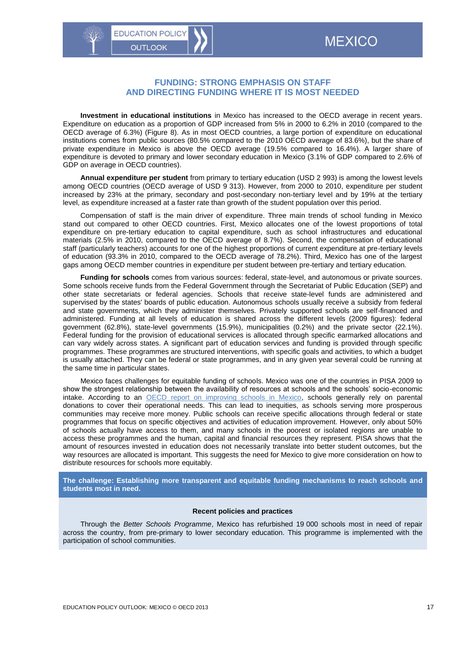## <span id="page-16-0"></span>**FUNDING: STRONG EMPHASIS ON STAFF AND DIRECTING FUNDING WHERE IT IS MOST NEEDED**

**Investment in educational institutions** in Mexico has increased to the OECD average in recent years. Expenditure on education as a proportion of GDP increased from 5% in 2000 to 6.2% in 2010 (compared to the OECD average of 6.3%) (Figure 8). As in most OECD countries, a large portion of expenditure on educational institutions comes from public sources (80.5% compared to the 2010 OECD average of 83.6%), but the share of private expenditure in Mexico is above the OECD average (19.5% compared to 16.4%). A larger share of expenditure is devoted to primary and lower secondary education in Mexico (3.1% of GDP compared to 2.6% of GDP on average in OECD countries).

**Annual expenditure per student** from primary to tertiary education (USD 2 993) is among the lowest levels among OECD countries (OECD average of USD 9 313). However, from 2000 to 2010, expenditure per student increased by 23% at the primary, secondary and post-secondary non-tertiary level and by 19% at the tertiary level, as expenditure increased at a faster rate than growth of the student population over this period.

Compensation of staff is the main driver of expenditure. Three main trends of school funding in Mexico stand out compared to other OECD countries. First, Mexico allocates one of the lowest proportions of total expenditure on pre-tertiary education to capital expenditure, such as school infrastructures and educational materials (2.5% in 2010, compared to the OECD average of 8.7%). Second, the compensation of educational staff (particularly teachers) accounts for one of the highest proportions of current expenditure at pre-tertiary levels of education (93.3% in 2010, compared to the OECD average of 78.2%). Third, Mexico has one of the largest gaps among OECD member countries in expenditure per student between pre-tertiary and tertiary education.

**Funding for schools** comes from various sources: federal, state-level, and autonomous or private sources. Some schools receive funds from the Federal Government through the Secretariat of Public Education (SEP) and other state secretariats or federal agencies. Schools that receive state-level funds are administered and supervised by the states' boards of public education. Autonomous schools usually receive a subsidy from federal and state governments, which they administer themselves. Privately supported schools are self-financed and administered. Funding at all levels of education is shared across the different levels (2009 figures): federal government (62.8%), state-level governments (15.9%), municipalities (0.2%) and the private sector (22.1%). Federal funding for the provision of educational services is allocated through specific earmarked allocations and can vary widely across states. A significant part of education services and funding is provided through specific programmes. These programmes are structured interventions, with specific goals and activities, to which a budget is usually attached. They can be federal or state programmes, and in any given year several could be running at the same time in particular states.

Mexico faces challenges for equitable funding of schools. Mexico was one of the countries in PISA 2009 to show the strongest relationship between the availability of resources at schools and the schools' socio-economic intake. According to an [OECD report on improving schools in Mexico,](http://www.oecd.org/education/school/improvingschoolsstrategiesforactioninmexico.htm) schools generally rely on parental donations to cover their operational needs. This can lead to inequities, as schools serving more prosperous communities may receive more money. Public schools can receive specific allocations through federal or state programmes that focus on specific objectives and activities of education improvement. However, only about 50% of schools actually have access to them, and many schools in the poorest or isolated regions are unable to access these programmes and the human, capital and financial resources they represent. PISA shows that the amount of resources invested in education does not necessarily translate into better student outcomes, but the way resources are allocated is important. This suggests the need for Mexico to give more consideration on how to distribute resources for schools more equitably.

**The challenge: Establishing more transparent and equitable funding mechanisms to reach schools and students most in need.** 

#### **Recent policies and practices**

Through the *Better Schools Programme*, Mexico has refurbished 19 000 schools most in need of repair across the country, from pre-primary to lower secondary education. This programme is implemented with the participation of school communities.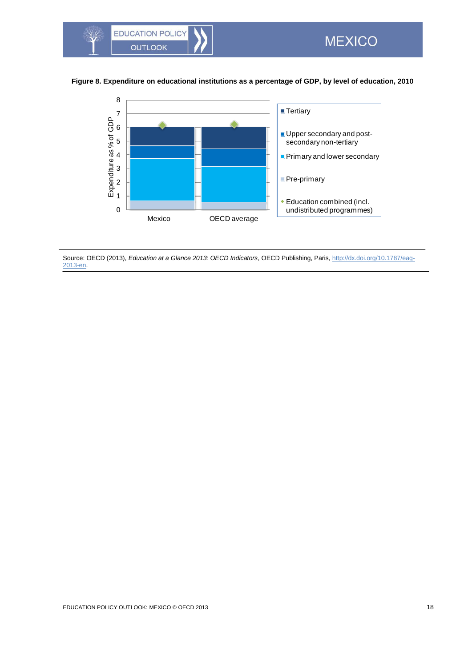

## **Figure 8. Expenditure on educational institutions as a percentage of GDP, by level of education, 2010**

<span id="page-17-0"></span>

Source: OECD (2013), *Education at a Glance 2013: OECD Indicators*, OECD Publishing, Paris, [http://dx.doi.org/10.1787/eag-](http://dx.doi.org/10.1787/eag-2013-en)[2013-en.](http://dx.doi.org/10.1787/eag-2013-en)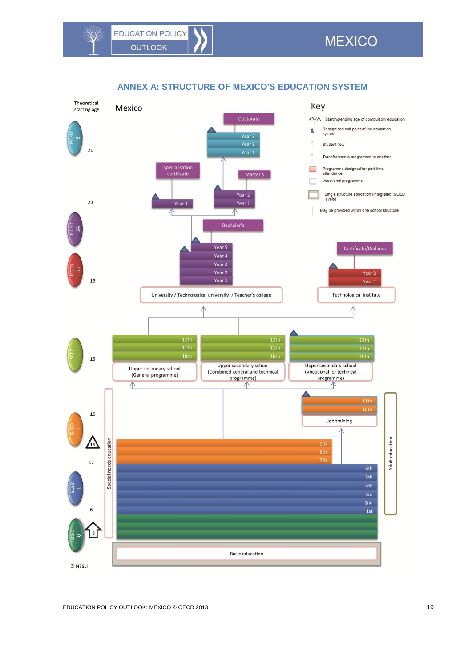$\sqrt[4]{r}$ 

<span id="page-18-0"></span>

## **ANNEX A: STRUCTURE OF MEXICO'S EDUCATION SYSTEM**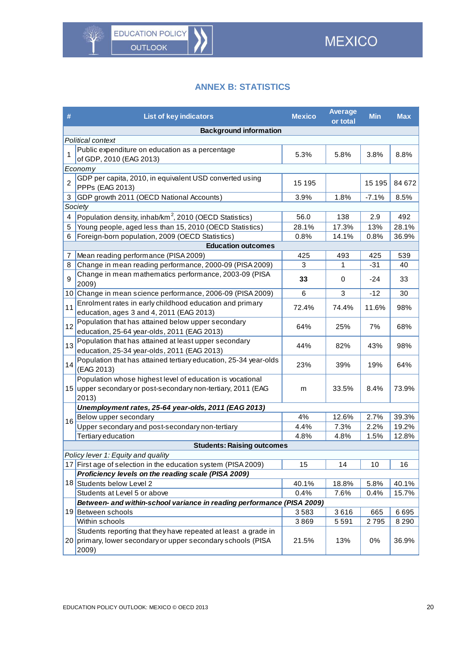# **ANNEX B: STATISTICS**

<span id="page-19-0"></span>

| #              | <b>List of key indicators</b>                                                                                                           | <b>Mexico</b> | <b>Average</b><br>or total | <b>Min</b> | <b>Max</b> |
|----------------|-----------------------------------------------------------------------------------------------------------------------------------------|---------------|----------------------------|------------|------------|
|                | <b>Background information</b>                                                                                                           |               |                            |            |            |
|                | Political context                                                                                                                       |               |                            |            |            |
| 1              | Public expenditure on education as a percentage<br>of GDP, 2010 (EAG 2013)                                                              | 5.3%          | 5.8%                       | 3.8%       | 8.8%       |
|                | Economy                                                                                                                                 |               |                            |            |            |
| $\overline{2}$ | GDP per capita, 2010, in equivalent USD converted using<br>PPPs (EAG 2013)                                                              | 15 195        |                            | 15 195     | 84 672     |
| 3              | GDP growth 2011 (OECD National Accounts)                                                                                                | 3.9%          | 1.8%                       | $-7.1%$    | 8.5%       |
|                | Society                                                                                                                                 |               |                            |            |            |
| 4              | Population density, inhab/km <sup>2</sup> , 2010 (OECD Statistics)                                                                      | 56.0          | 138                        | 2.9        | 492        |
| 5              | Young people, aged less than 15, 2010 (OECD Statistics)                                                                                 | 28.1%         | 17.3%                      | 13%        | 28.1%      |
| 6              | Foreign-born population, 2009 (OECD Statistics)                                                                                         | 0.8%          | 14.1%                      | 0.8%       | 36.9%      |
|                | <b>Education outcomes</b>                                                                                                               |               |                            |            |            |
| 7              | Mean reading performance (PISA 2009)                                                                                                    | 425           | 493                        | 425        | 539        |
| 8              | Change in mean reading performance, 2000-09 (PISA 2009)                                                                                 | 3             | 1                          | $-31$      | 40         |
| 9              | Change in mean mathematics performance, 2003-09 (PISA<br>2009)                                                                          | 33            | 0                          | $-24$      | 33         |
|                | 10 Change in mean science performance, 2006-09 (PISA 2009)                                                                              | 6             | 3                          | $-12$      | 30         |
| 11             | Enrolment rates in early childhood education and primary<br>education, ages 3 and 4, 2011 (EAG 2013)                                    | 72.4%         | 74.4%                      | 11.6%      | 98%        |
| 12             | Population that has attained below upper secondary<br>education, 25-64 year-olds, 2011 (EAG 2013)                                       | 64%           | 25%                        | 7%         | 68%        |
| 13             | Population that has attained at least upper secondary<br>education, 25-34 year-olds, 2011 (EAG 2013)                                    | 44%           | 82%                        | 43%        | 98%        |
| 14             | Population that has attained tertiary education, 25-34 year-olds<br>(EAG 2013)                                                          | 23%           | 39%                        | 19%        | 64%        |
|                | Population whose highest level of education is vocational                                                                               |               |                            |            |            |
|                | 15 upper secondary or post-secondary non-tertiary, 2011 (EAG<br>2013)                                                                   | m             | 33.5%                      | 8.4%       | 73.9%      |
|                | Unemployment rates, 25-64 year-olds, 2011 (EAG 2013)                                                                                    |               |                            |            |            |
| 16             | Below upper secondary                                                                                                                   | 4%            | 12.6%                      | 2.7%       | 39.3%      |
|                | Upper secondary and post-secondary non-tertiary                                                                                         | 4.4%          | 7.3%                       | 2.2%       | 19.2%      |
|                | Tertiary education                                                                                                                      | 4.8%          | 4.8%                       | 1.5%       | 12.8%      |
|                | <b>Students: Raising outcomes</b>                                                                                                       |               |                            |            |            |
|                | Policy lever 1: Equity and quality                                                                                                      |               |                            |            |            |
|                | 17 First age of selection in the education system (PISA 2009)                                                                           | 15            | 14                         | 10         | 16         |
|                | Proficiency levels on the reading scale (PISA 2009)                                                                                     |               |                            |            |            |
|                | 18 Students below Level 2                                                                                                               | 40.1%         | 18.8%                      | 5.8%       | 40.1%      |
|                | Students at Level 5 or above                                                                                                            | 0.4%          | 7.6%                       | 0.4%       | 15.7%      |
|                | Between- and within-school variance in reading performance (PISA 2009)                                                                  |               |                            |            |            |
|                | 19 Between schools                                                                                                                      | 3583          | 3616                       | 665        | 6695       |
|                | Within schools                                                                                                                          | 3869          | 5591                       | 2795       | 8 2 9 0    |
|                | Students reporting that they have repeated at least a grade in<br>20 primary, lower secondary or upper secondary schools (PISA<br>2009) | 21.5%         | 13%                        | 0%         | 36.9%      |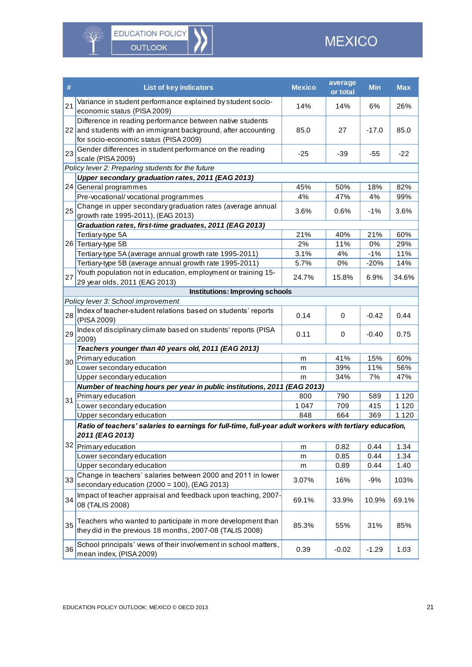

 $\sqrt[4]{r}$ 

| #  | <b>List of key indicators</b>                                                                                                                                        | <b>Mexico</b> | average<br>or total | <b>Min</b> | <b>Max</b> |
|----|----------------------------------------------------------------------------------------------------------------------------------------------------------------------|---------------|---------------------|------------|------------|
| 21 | Variance in student performance explained by student socio-<br>economic status (PISA 2009)                                                                           | 14%           | 14%                 | 6%         | 26%        |
|    | Difference in reading performance between native students<br>22 and students with an immigrant background, after accounting<br>for socio-economic status (PISA 2009) | 85.0          | 27                  | $-17.0$    | 85.0       |
| 23 | Gender differences in student performance on the reading<br>scale (PISA 2009)                                                                                        | $-25$         | $-39$               | $-55$      | $-22$      |
|    | Policy lever 2: Preparing students for the future                                                                                                                    |               |                     |            |            |
|    | Upper secondary graduation rates, 2011 (EAG 2013)                                                                                                                    |               |                     |            |            |
|    | 24 General programmes                                                                                                                                                | 45%           | 50%                 | 18%        | 82%        |
|    | Pre-vocational/vocational programmes                                                                                                                                 | 4%            | 47%                 | 4%         | 99%        |
| 25 | Change in upper secondary graduation rates (average annual<br>growth rate 1995-2011), (EAG 2013)                                                                     | 3.6%          | 0.6%                | $-1%$      | 3.6%       |
|    | Graduation rates, first-time graduates, 2011 (EAG 2013)                                                                                                              |               |                     |            |            |
|    | Tertiary-type 5A                                                                                                                                                     | 21%           | 40%                 | 21%        | 60%        |
|    | 26 Tertiary-type 5B                                                                                                                                                  | 2%            | 11%                 | 0%         | 29%        |
|    | Tertiary-type 5A (average annual growth rate 1995-2011)                                                                                                              | 3.1%          | 4%                  | $-1%$      | 11%        |
|    | Tertiary-type 5B (average annual growth rate 1995-2011)                                                                                                              | 5.7%          | 0%                  | $-20%$     | 14%        |
| 27 | Youth population not in education, employment or training 15-<br>29 year olds, 2011 (EAG 2013)                                                                       | 24.7%         | 15.8%               | 6.9%       | 34.6%      |
|    | <b>Institutions: Improving schools</b>                                                                                                                               |               |                     |            |            |
|    | Policy lever 3: School improvement                                                                                                                                   |               |                     |            |            |
| 28 | Index of teacher-student relations based on students' reports<br>(PISA 2009)                                                                                         | 0.14          | $\mathbf 0$         | $-0.42$    | 0.44       |
| 29 | Index of disciplinary climate based on students' reports (PISA<br>2009)                                                                                              | 0.11          | 0                   | $-0.40$    | 0.75       |
|    | Teachers younger than 40 years old, 2011 (EAG 2013)                                                                                                                  |               |                     |            |            |
| 30 | Primary education                                                                                                                                                    | m             | 41%                 | 15%        | 60%        |
|    | Lower secondary education                                                                                                                                            | m             | 39%                 | 11%        | 56%        |
|    | Upper secondary education                                                                                                                                            | m             | 34%                 | 7%         | 47%        |
|    | Number of teaching hours per year in public institutions, 2011 (EAG 2013)                                                                                            |               |                     |            |            |
| 31 | Primary education                                                                                                                                                    | 800           | 790                 | 589        | 1 1 2 0    |
|    | Lower secondary education                                                                                                                                            | 1 0 4 7       | 709                 | 415        | 1 1 2 0    |
|    | Upper secondary education                                                                                                                                            | 848           | 664                 | 369        | 1 1 2 0    |
|    | Ratio of teachers' salaries to earnings for full-time, full-year adult workers with tertiary education,<br>2011 (EAG 2013)                                           |               |                     |            |            |
|    | 32 Primary education                                                                                                                                                 | m             | 0.82                | 0.44       | 1.34       |
|    | Lower secondary education                                                                                                                                            | m             | 0.85                | 0.44       | 1.34       |
|    | Upper secondary education                                                                                                                                            | m             | 0.89                | 0.44       | 1.40       |
|    | Change in teachers' salaries between 2000 and 2011 in lower                                                                                                          |               |                     |            |            |
| 33 | secondary education (2000 = 100), (EAG 2013)                                                                                                                         | 3.07%         | 16%                 | $-9%$      | 103%       |
| 34 | Impact of teacher appraisal and feedback upon teaching, 2007-<br>08 (TALIS 2008)                                                                                     | 69.1%         | 33.9%               | 10.9%      | 69.1%      |
| 35 | Teachers who wanted to participate in more development than<br>they did in the previous 18 months, 2007-08 (TALIS 2008)                                              | 85.3%         | 55%                 | 31%        | 85%        |
| 36 | School principals' views of their involvement in school matters,<br>mean index, (PISA 2009)                                                                          | 0.39          | $-0.02$             | $-1.29$    | 1.03       |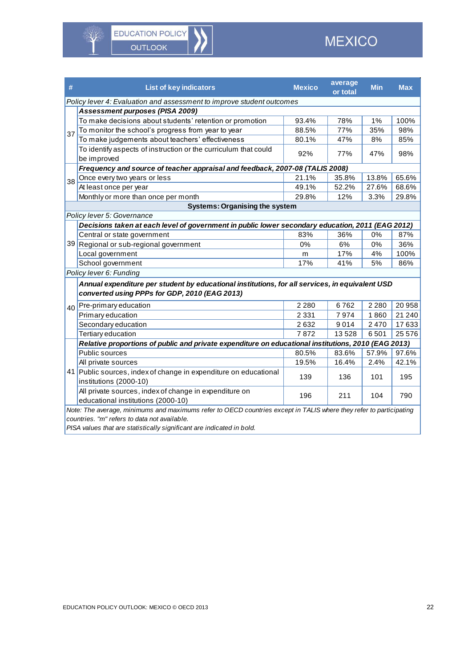XX

| #                               | <b>List of key indicators</b>                                                                                      | <b>Mexico</b> | average<br>or total | <b>Min</b> | <b>Max</b> |
|---------------------------------|--------------------------------------------------------------------------------------------------------------------|---------------|---------------------|------------|------------|
|                                 | Policy lever 4: Evaluation and assessment to improve student outcomes                                              |               |                     |            |            |
| Assessment purposes (PISA 2009) |                                                                                                                    |               |                     |            |            |
|                                 | To make decisions about students' retention or promotion                                                           | 93.4%         | 78%                 | 1%         | 100%       |
| 37                              | To monitor the school's progress from year to year                                                                 | 88.5%         | 77%                 | 35%        | 98%        |
|                                 | To make judgements about teachers' effectiveness                                                                   | 80.1%         | 47%                 | 8%         | 85%        |
|                                 | To identify aspects of instruction or the curriculum that could                                                    |               | 77%                 |            |            |
|                                 | be improved                                                                                                        | 92%           |                     | 47%        | 98%        |
|                                 | Frequency and source of teacher appraisal and feedback, 2007-08 (TALIS 2008)                                       |               |                     |            |            |
| 38                              | Once every two years or less                                                                                       | 21.1%         | 35.8%               | 13.8%      | 65.6%      |
|                                 | At least once per year                                                                                             | 49.1%         | 52.2%               | 27.6%      | 68.6%      |
|                                 | Monthly or more than once per month                                                                                | 29.8%         | 12%                 | 3.3%       | 29.8%      |
|                                 | <b>Systems: Organising the system</b>                                                                              |               |                     |            |            |
|                                 | Policy lever 5: Governance                                                                                         |               |                     |            |            |
|                                 | Decisions taken at each level of government in public lower secondary education, 2011 (EAG 2012)                   |               |                     |            |            |
|                                 | Central or state government                                                                                        | 83%           | 36%                 | 0%         | 87%        |
|                                 | 39 Regional or sub-regional government                                                                             | 0%            | 6%                  | 0%         | 36%        |
|                                 | Local government                                                                                                   | m             | 17%                 | 4%         | 100%       |
|                                 | School government                                                                                                  | 17%           | 41%                 | 5%         | 86%        |
|                                 | Policy lever 6: Funding                                                                                            |               |                     |            |            |
|                                 | Annual expenditure per student by educational institutions, for all services, in equivalent USD                    |               |                     |            |            |
|                                 | converted using PPPs for GDP, 2010 (EAG 2013)                                                                      |               |                     |            |            |
| 40 <sup>1</sup>                 | Pre-primary education                                                                                              | 2 2 8 0       | 6762                | 2 2 8 0    | 20 958     |
|                                 | Primary education                                                                                                  | 2 3 3 1       | 7974                | 1860       | 21 240     |
|                                 | Secondary education                                                                                                | 2632          | 9014                | 2470       | 17633      |
|                                 | Tertiary education                                                                                                 | 7872          | 13528               | 6501       | 25 576     |
|                                 | Relative proportions of public and private expenditure on educational institutions, 2010 (EAG 2013)                |               |                     |            |            |
|                                 | Public sources                                                                                                     | 80.5%         | 83.6%               | 57.9%      | 97.6%      |
|                                 | All private sources                                                                                                | 19.5%         | 16.4%               | 2.4%       | 42.1%      |
|                                 | 41 Public sources, index of change in expenditure on educational                                                   | 139           | 136                 | 101        | 195        |
|                                 | institutions (2000-10)                                                                                             |               |                     |            |            |
|                                 | All private sources, index of change in expenditure on                                                             | 196           | 211                 | 104        | 790        |
|                                 | educational institutions (2000-10)                                                                                 |               |                     |            |            |
|                                 | Note: The average, minimums and maximums refer to OECD countries except in TALIS where they refer to participating |               |                     |            |            |
|                                 | countries. "m" refers to data not available.<br>.                                                                  |               |                     |            |            |

*PISA values that are statistically significant are indicated in bold.*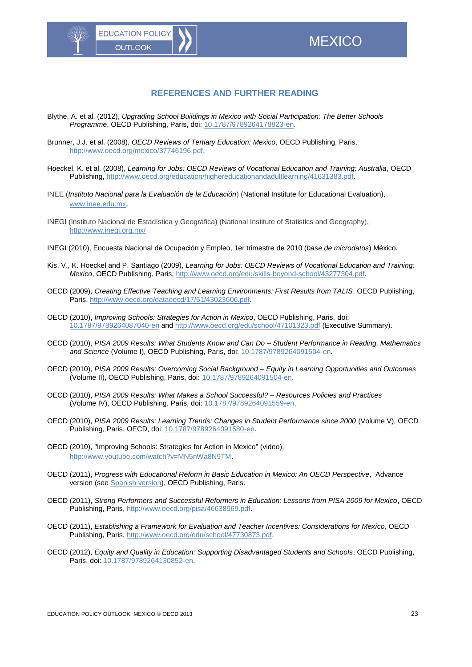# **REFERENCES AND FURTHER READING**

- Blythe, A. et al. (2012), *Upgrading School Buildings in Mexico with Social Participation: The Better Schools Programme*, OECD Publishing, Paris, doi: [10.1787/9789264178823-en.](http://dx.doi.org/10.1787/9789264178823-en)
- Brunner, J.J. et al. (2008), *OECD Reviews of Tertiary Education: Mexico*, OECD Publishing, Paris, [http://www.oecd.org/mexico/37746196.pdf.](http://www.oecd.org/mexico/37746196.pdf)
- Hoeckel, K. et al. (2008), *Learning for Jobs: OECD Reviews of Vocational Education and Training: Australia*, OECD Publishing, [http://www.oecd.org/education/highereducationandadultlearning/41631383.pdf.](http://www.oecd.org/education/highereducationandadultlearning/41631383.pdf)
- INEE (*Instituto Nacional para la Evaluación de la Educación*) (National Institute for Educational Evaluation), [www.inee.edu.mx](http://www.inee.edu.mx/).
- INEGI (Instituto Nacional de Estadística y Geográfica) (National Institute of Statistics and Geography), http://www.inegi.org.mx/
- INEGI (2010), Encuesta Nacional de Ocupación y Empleo, 1er trimestre de 2010 (*base de microdatos*) México.
- Kis, V., K. Hoeckel and P. Santiago (2009), *Learning for Jobs: OECD Reviews of Vocational Education and Training: Mexico*, OECD Publishing, Paris, [http://www.oecd.org/edu/skills-beyond-school/43277304.pdf.](http://www.oecd.org/edu/skills-beyond-school/43277304.pdf)
- OECD (2009), *Creating Effective Teaching and Learning Environments: First Results from TALIS*, OECD Publishing, Paris, [http://www.oecd.org/dataoecd/17/51/43023606.pdf.](http://www.oecd.org/dataoecd/17/51/43023606.pdf)
- OECD (2010), *Improving Schools: Strategies for Action in Mexico*, OECD Publishing, Paris, doi: [10.1787/9789264087040-en](http://dx.doi.org/10.1787/9789264087040-en) and<http://www.oecd.org/edu/school/47101323.pdf> (Executive Summary).
- OECD (2010), *PISA 2009 Results: What Students Know and Can Do – Student Performance in Reading, Mathematics and Science* (Volume I), OECD Publishing, Paris, doi: [10.1787/9789264091504-en.](http://dx.doi.org/10.1787/9789264091504-en)
- OECD (2010), *PISA 2009 Results: Overcoming Social Background – Equity in Learning Opportunities and Outcomes*  (Volume II), OECD Publishing, Paris, doi: [10.1787/9789264091504-en.](http://dx.doi.org/10.1787/9789264091504-en)
- OECD (2010), *PISA 2009 Results: What Makes a School Successful? – Resources Policies and Practices* (Volume IV), OECD Publishing, Paris, doi: [10.1787/9789264091559-en.](http://dx.doi.org/10.1787/9789264091559-en)
- OECD (2010), *PISA 2009 Results: Learning Trends: Changes in Student Performance since 2000* (Volume V), OECD Publishing, Paris, OECD, doi: [10.1787/9789264091580-en.](http://dx.doi.org/10.1787/9789264091580-en)
- OECD (2010), "Improving Schools: Strategies for Action in Mexico" (video), <http://www.youtube.com/watch?v=MN5nWa8N9TM>.
- OECD (2011), *Progress with Educational Reform in Basic Education in Mexico: An OECD Perspective*, Advance version (see [Spanish version\)](http://www.sep.gob.mx/work/models/sep1/Resource/3048/1/images/Avances_en_las_reformas_de_la_educacion_basica.pdf), OECD Publishing, Paris.
- OECD (2011), *Strong Performers and Successful Reformers in Education: Lessons from PISA 2009 for Mexico*, OECD Publishing, Paris, http://www.oecd.org/pisa/46638969.pdf.
- OECD (2011), *Establishing a Framework for Evaluation and Teacher Incentives: Considerations for Mexico*, OECD Publishing, Paris, [http://www.oecd.org/edu/school/47730873.pdf.](http://www.oecd.org/edu/school/47730873.pdf)
- OECD (2012), *Equity and Quality in Education: Supporting Disadvantaged Students and Schools*, OECD Publishing, Paris, doi: [10.1787/9789264130852-en.](http://dx.doi.org/10.1787/9789264130852-en)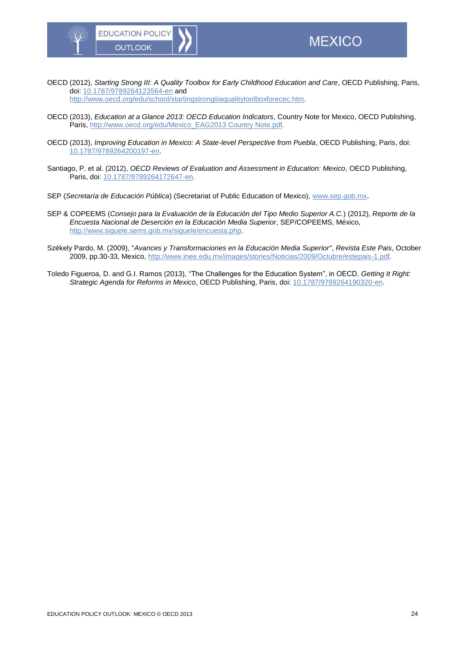OECD (2012), *Starting Strong III: A Quality Toolbox for Early Childhood Education and Care*, OECD Publishing, Paris, doi: [10.1787/9789264123564-en](http://dx.doi.org/10.1787/9789264123564-en) and

[http://www.oecd.org/edu/school/startingstrongiiiaqualitytoolboxforecec.htm.](http://www.oecd.org/edu/school/startingstrongiiiaqualitytoolboxforecec.htm)

- OECD (2013), *Education at a Glance 2013: OECD Education Indicators*, Country Note for Mexico, OECD Publishing, Paris, [http://www.oecd.org/edu/Mexico\\_EAG2013 Country Note.pdf.](http://www.oecd.org/edu/Mexico_EAG2013%20Country%20Note.pdf)
- OECD (2013), *Improving Education in Mexico: A State-level Perspective from Puebla*, OECD Publishing, Paris, doi: [10.1787/9789264200197-en.](http://dx.doi.org/10.1787/9789264200197-en)
- Santiago, P. et al. (2012), *OECD Reviews of Evaluation and Assessment in Education: Mexico*, OECD Publishing, Paris, doi: [10.1787/9789264172647-en.](http://dx.doi.org/10.1787/9789264172647-en)
- SEP (*Secretaría de Educación Pública*) (Secretariat of Public Education of Mexico), [www.sep.gob.mx](http://www.sep.gob.mx/).
- SEP & COPEEMS (*Consejo para la Evaluación de la Educación del Tipo Medio Superior A.C.*) (2012), *Reporte de la Encuesta Nacional de Deserción en la Educación Media Superior*, SEP/COPEEMS, México, [http://www.siguele.sems.gob.mx/siguele/encuesta.php.](http://www.siguele.sems.gob.mx/siguele/encuesta.php)
- Székely Pardo, M. (2009), "*Avances y Transformaciones en la Educación Media Superior"*, *Revista Este Pais*, October 2009, pp.30-33, Mexico, [http://www.inee.edu.mx/images/stories/Noticias/2009/Octubre/estepais-1.pdf.](http://www.inee.edu.mx/images/stories/Noticias/2009/Octubre/estepais-1.pdf)
- Toledo Figueroa, D. and G.I. Ramos (2013), "The Challenges for the Education System", in OECD, *Getting It Right: Strategic Agenda for Reforms in Mexico*, OECD Publishing, Paris, doi[: 10.1787/9789264190320-en.](http://dx.doi.org/10.1787/9789264190320-en)